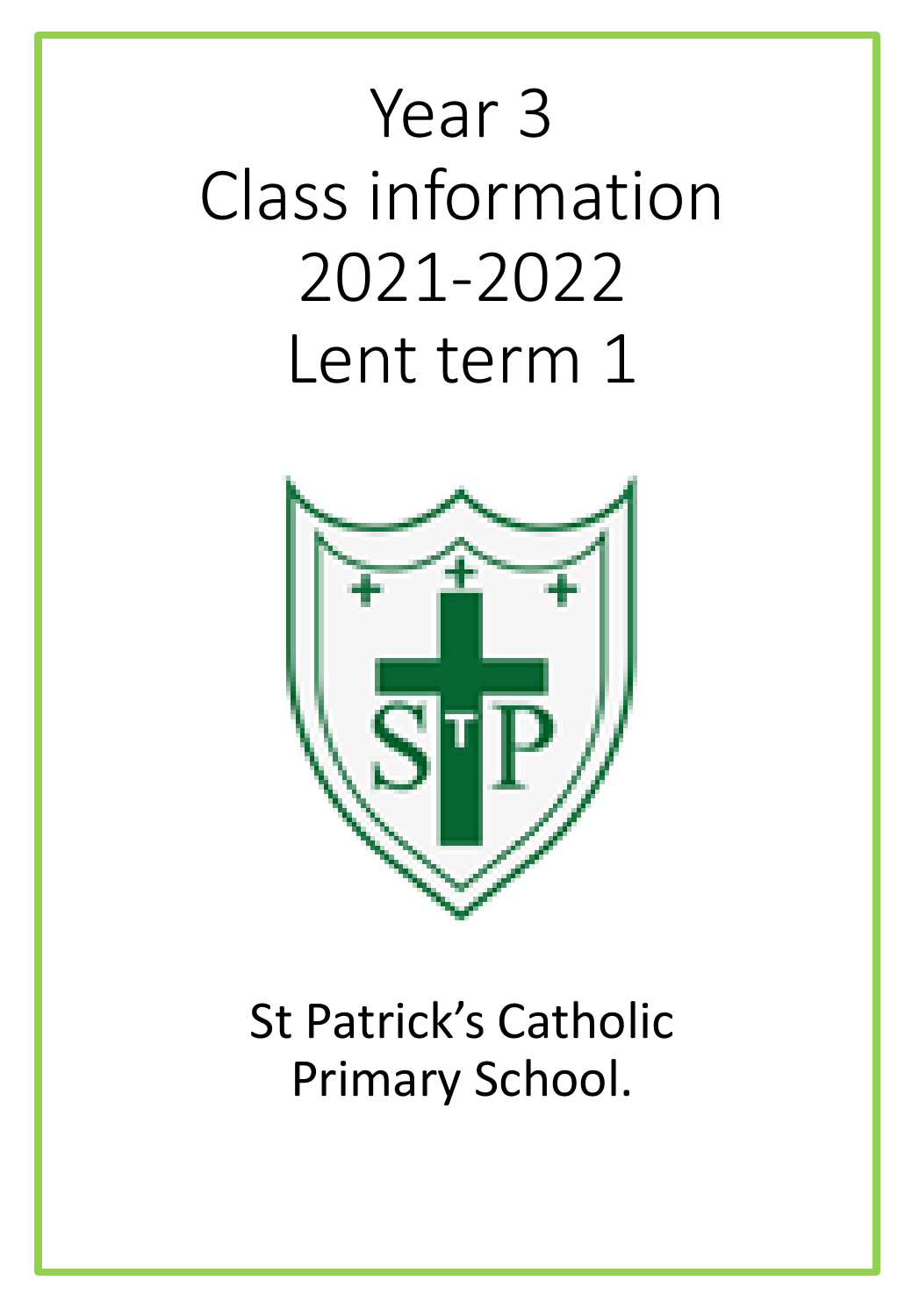# Year 3 Class information 2021-2022 Lent term 1



# St Patrick's Catholic Primary School.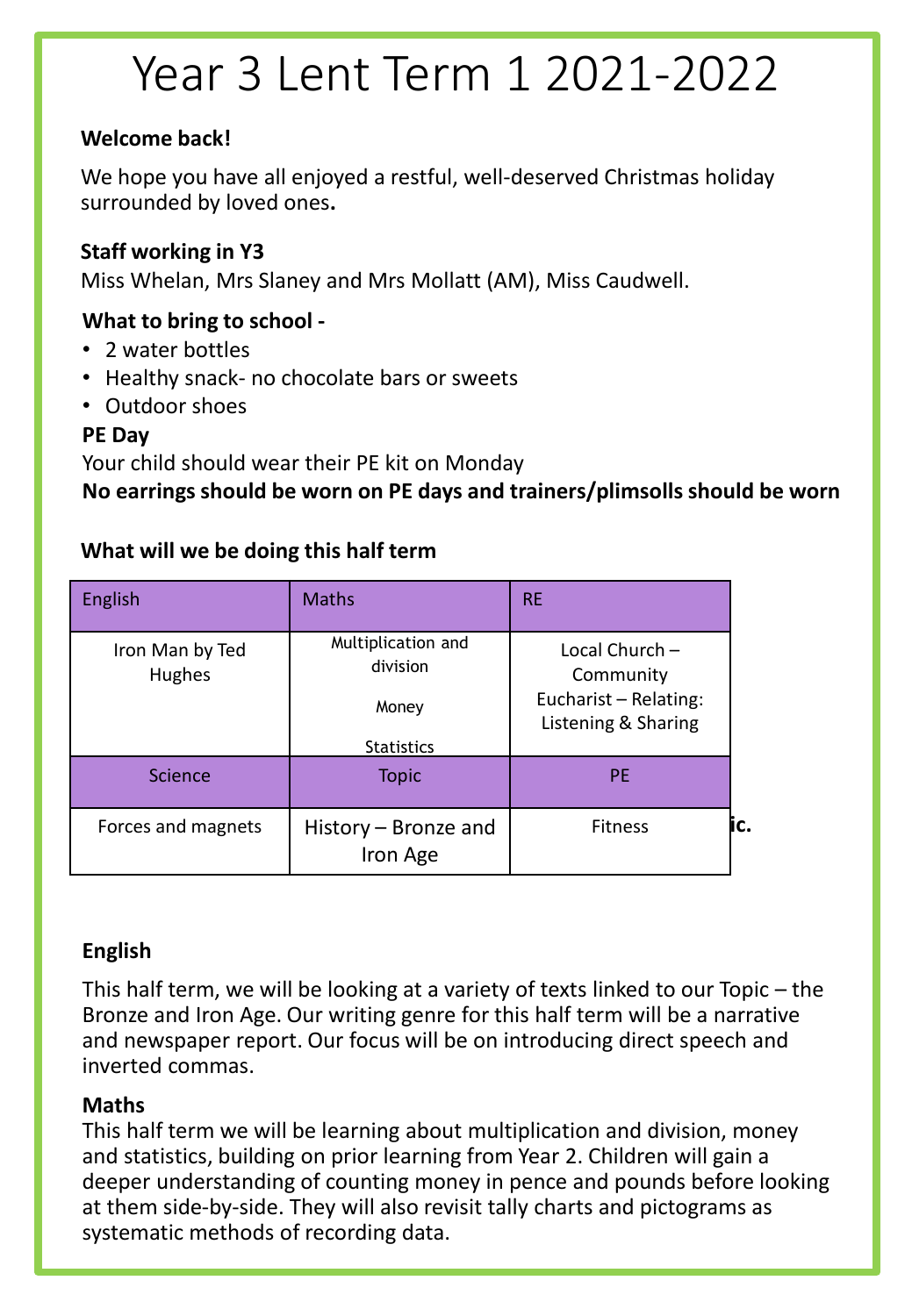# Year 3 Lent Term 1 2021-2022

#### **Welcome back!**

We hope you have all enjoyed a restful, well-deserved Christmas holiday surrounded by loved ones**.** 

#### **Staff working in Y3**

Miss Whelan, Mrs Slaney and Mrs Mollatt (AM), Miss Caudwell.

#### **What to bring to school -**

- 2 water bottles
- Healthy snack- no chocolate bars or sweets
- Outdoor shoes

#### **PE Day**

Your child should wear their PE kit on Monday

**No earrings should be worn on PE days and trainers/plimsolls should be worn**

#### **Proces and magnets | History – Bronze and | The Fitness | Fitness** English Maths RE Iron Man by Ted Hughes Multiplication and division Money **Statistics** Local Church – **Community** Eucharist – Relating: Listening & Sharing Science | Topic | PE Iron Age **Fitness**

#### **What will we be doing this half term**

#### **English**

This half term, we will be looking at a variety of texts linked to our Topic – the Bronze and Iron Age. Our writing genre for this half term will be a narrative and newspaper report. Our focus will be on introducing direct speech and inverted commas.

#### **Maths**

This half term we will be learning about multiplication and division, money and statistics, building on prior learning from Year 2. Children will gain a deeper understanding of counting money in pence and pounds before looking at them side-by-side. They will also revisit tally charts and pictograms as systematic methods of recording data.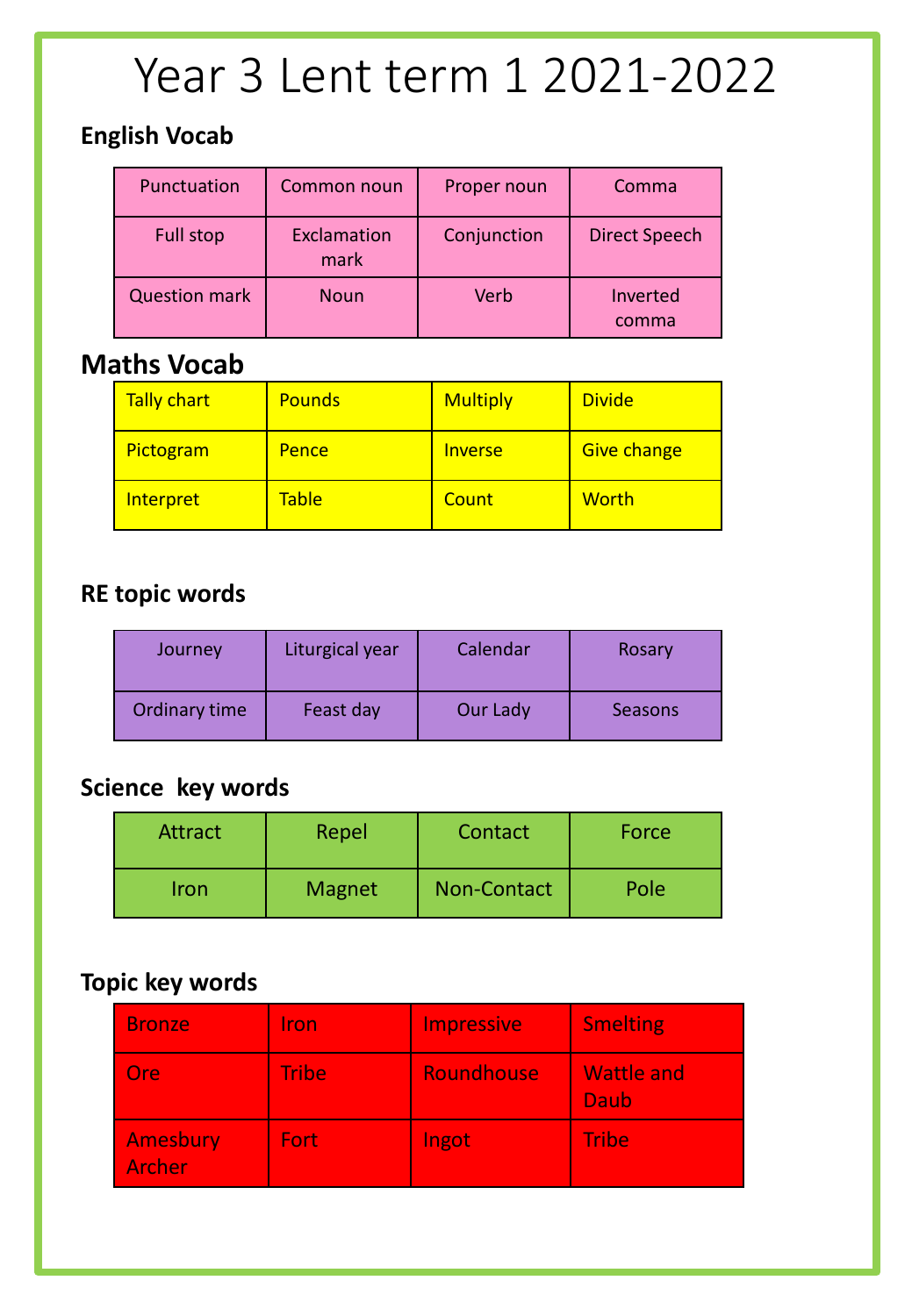# Year 3 Lent term 1 2021-2022

### **English Vocab**

| Punctuation          | Common noun         | Proper noun | Comma                |
|----------------------|---------------------|-------------|----------------------|
| <b>Full stop</b>     | Exclamation<br>mark | Conjunction | <b>Direct Speech</b> |
| <b>Question mark</b> | <b>Noun</b>         | Verb        | Inverted<br>comma    |

## **Maths Vocab**

| Tally chart | <b>Pounds</b> | <b>Multiply</b> | <b>Divide</b>      |
|-------------|---------------|-----------------|--------------------|
| Pictogram   | <b>Pence</b>  | <b>Inverse</b>  | <b>Give change</b> |
| Interpret   | <b>Table</b>  | Count           | <b>Worth</b>       |

### **RE topic words**

| Journey       | Liturgical year | Calendar | Rosary  |  |  |  |
|---------------|-----------------|----------|---------|--|--|--|
| Ordinary time | Feast day       | Our Lady | Seasons |  |  |  |

### **Science key words**

| Attract | Repel         | Contact     | Force |  |  |  |  |
|---------|---------------|-------------|-------|--|--|--|--|
| Iron    | <b>Magnet</b> | Non-Contact | Pole  |  |  |  |  |

#### **Topic key words**

| <b>Bronze</b>      | Iron         | <b>Impressive</b> | <b>Smelting</b>           |
|--------------------|--------------|-------------------|---------------------------|
| <b>Ore</b>         | <b>Tribe</b> | Roundhouse        | <b>Wattle and</b><br>Daub |
| Amesbury<br>Archer | Fort:        | Ingot             | <b>Tribe</b>              |